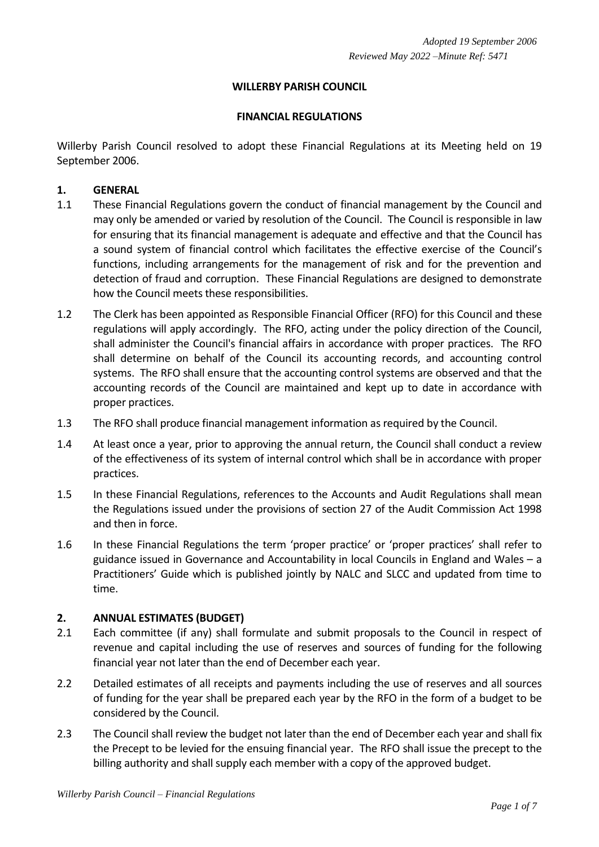# **WILLERBY PARISH COUNCIL**

#### **FINANCIAL REGULATIONS**

Willerby Parish Council resolved to adopt these Financial Regulations at its Meeting held on 19 September 2006.

## **1. GENERAL**

- 1.1 These Financial Regulations govern the conduct of financial management by the Council and may only be amended or varied by resolution of the Council. The Council is responsible in law for ensuring that its financial management is adequate and effective and that the Council has a sound system of financial control which facilitates the effective exercise of the Council's functions, including arrangements for the management of risk and for the prevention and detection of fraud and corruption. These Financial Regulations are designed to demonstrate how the Council meets these responsibilities.
- 1.2 The Clerk has been appointed as Responsible Financial Officer (RFO) for this Council and these regulations will apply accordingly. The RFO, acting under the policy direction of the Council, shall administer the Council's financial affairs in accordance with proper practices. The RFO shall determine on behalf of the Council its accounting records, and accounting control systems. The RFO shall ensure that the accounting control systems are observed and that the accounting records of the Council are maintained and kept up to date in accordance with proper practices.
- 1.3 The RFO shall produce financial management information as required by the Council.
- 1.4 At least once a year, prior to approving the annual return, the Council shall conduct a review of the effectiveness of its system of internal control which shall be in accordance with proper practices.
- 1.5 In these Financial Regulations, references to the Accounts and Audit Regulations shall mean the Regulations issued under the provisions of section 27 of the Audit Commission Act 1998 and then in force.
- 1.6 In these Financial Regulations the term 'proper practice' or 'proper practices' shall refer to guidance issued in Governance and Accountability in local Councils in England and Wales – a Practitioners' Guide which is published jointly by NALC and SLCC and updated from time to time.

## **2. ANNUAL ESTIMATES (BUDGET)**

- 2.1 Each committee (if any) shall formulate and submit proposals to the Council in respect of revenue and capital including the use of reserves and sources of funding for the following financial year not later than the end of December each year.
- 2.2 Detailed estimates of all receipts and payments including the use of reserves and all sources of funding for the year shall be prepared each year by the RFO in the form of a budget to be considered by the Council.
- 2.3 The Council shall review the budget not later than the end of December each year and shall fix the Precept to be levied for the ensuing financial year. The RFO shall issue the precept to the billing authority and shall supply each member with a copy of the approved budget.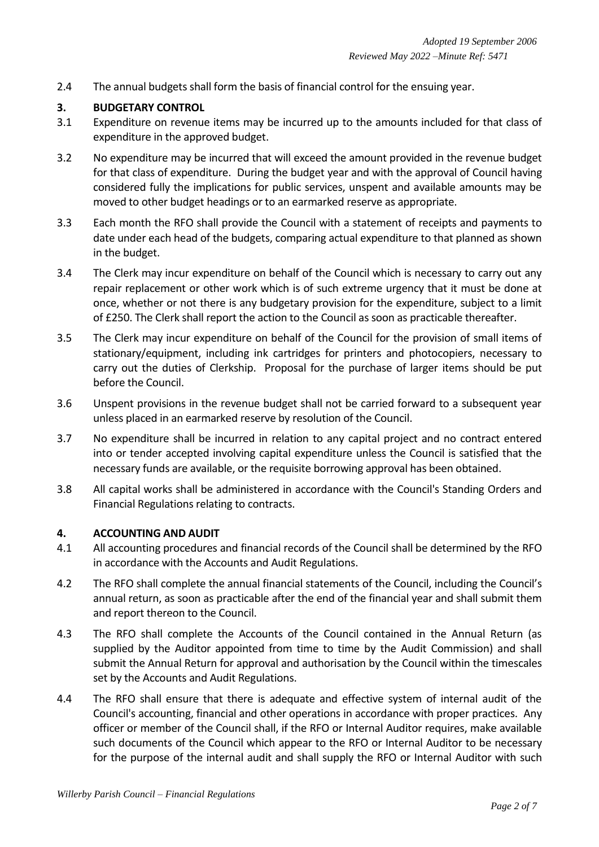2.4 The annual budgets shall form the basis of financial control for the ensuing year.

# **3. BUDGETARY CONTROL**

- 3.1 Expenditure on revenue items may be incurred up to the amounts included for that class of expenditure in the approved budget.
- 3.2 No expenditure may be incurred that will exceed the amount provided in the revenue budget for that class of expenditure. During the budget year and with the approval of Council having considered fully the implications for public services, unspent and available amounts may be moved to other budget headings or to an earmarked reserve as appropriate.
- 3.3 Each month the RFO shall provide the Council with a statement of receipts and payments to date under each head of the budgets, comparing actual expenditure to that planned as shown in the budget.
- 3.4 The Clerk may incur expenditure on behalf of the Council which is necessary to carry out any repair replacement or other work which is of such extreme urgency that it must be done at once, whether or not there is any budgetary provision for the expenditure, subject to a limit of £250. The Clerk shall report the action to the Council as soon as practicable thereafter.
- 3.5 The Clerk may incur expenditure on behalf of the Council for the provision of small items of stationary/equipment, including ink cartridges for printers and photocopiers, necessary to carry out the duties of Clerkship. Proposal for the purchase of larger items should be put before the Council.
- 3.6 Unspent provisions in the revenue budget shall not be carried forward to a subsequent year unless placed in an earmarked reserve by resolution of the Council.
- 3.7 No expenditure shall be incurred in relation to any capital project and no contract entered into or tender accepted involving capital expenditure unless the Council is satisfied that the necessary funds are available, or the requisite borrowing approval has been obtained.
- 3.8 All capital works shall be administered in accordance with the Council's Standing Orders and Financial Regulations relating to contracts.

## **4. ACCOUNTING AND AUDIT**

- 4.1 All accounting procedures and financial records of the Council shall be determined by the RFO in accordance with the Accounts and Audit Regulations.
- 4.2 The RFO shall complete the annual financial statements of the Council, including the Council's annual return, as soon as practicable after the end of the financial year and shall submit them and report thereon to the Council.
- 4.3 The RFO shall complete the Accounts of the Council contained in the Annual Return (as supplied by the Auditor appointed from time to time by the Audit Commission) and shall submit the Annual Return for approval and authorisation by the Council within the timescales set by the Accounts and Audit Regulations.
- 4.4 The RFO shall ensure that there is adequate and effective system of internal audit of the Council's accounting, financial and other operations in accordance with proper practices. Any officer or member of the Council shall, if the RFO or Internal Auditor requires, make available such documents of the Council which appear to the RFO or Internal Auditor to be necessary for the purpose of the internal audit and shall supply the RFO or Internal Auditor with such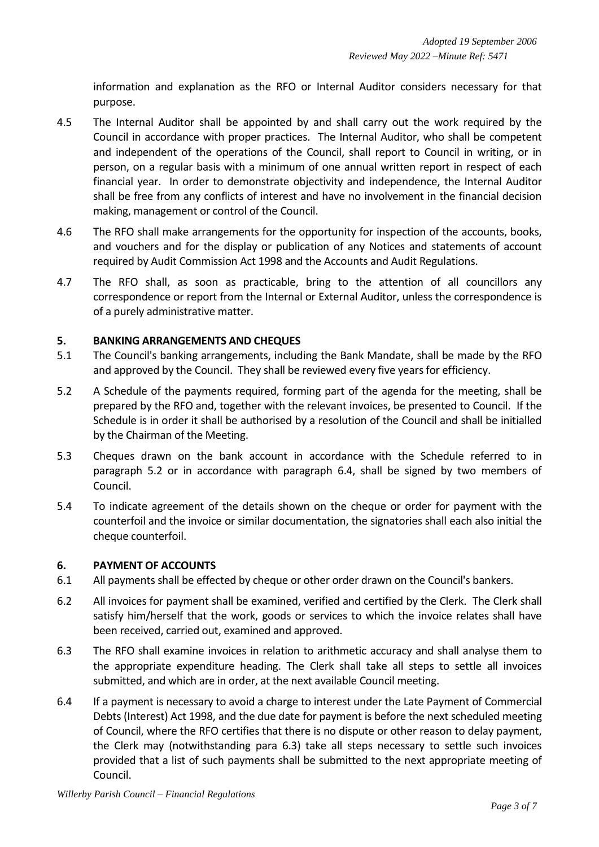information and explanation as the RFO or Internal Auditor considers necessary for that purpose.

- 4.5 The Internal Auditor shall be appointed by and shall carry out the work required by the Council in accordance with proper practices. The Internal Auditor, who shall be competent and independent of the operations of the Council, shall report to Council in writing, or in person, on a regular basis with a minimum of one annual written report in respect of each financial year. In order to demonstrate objectivity and independence, the Internal Auditor shall be free from any conflicts of interest and have no involvement in the financial decision making, management or control of the Council.
- 4.6 The RFO shall make arrangements for the opportunity for inspection of the accounts, books, and vouchers and for the display or publication of any Notices and statements of account required by Audit Commission Act 1998 and the Accounts and Audit Regulations.
- 4.7 The RFO shall, as soon as practicable, bring to the attention of all councillors any correspondence or report from the Internal or External Auditor, unless the correspondence is of a purely administrative matter.

## **5. BANKING ARRANGEMENTS AND CHEQUES**

- 5.1 The Council's banking arrangements, including the Bank Mandate, shall be made by the RFO and approved by the Council. They shall be reviewed every five yearsfor efficiency.
- 5.2 A Schedule of the payments required, forming part of the agenda for the meeting, shall be prepared by the RFO and, together with the relevant invoices, be presented to Council. If the Schedule is in order it shall be authorised by a resolution of the Council and shall be initialled by the Chairman of the Meeting.
- 5.3 Cheques drawn on the bank account in accordance with the Schedule referred to in paragraph 5.2 or in accordance with paragraph 6.4, shall be signed by two members of Council.
- 5.4 To indicate agreement of the details shown on the cheque or order for payment with the counterfoil and the invoice or similar documentation, the signatories shall each also initial the cheque counterfoil.

## **6. PAYMENT OF ACCOUNTS**

- 6.1 All payments shall be effected by cheque or other order drawn on the Council's bankers.
- 6.2 All invoices for payment shall be examined, verified and certified by the Clerk. The Clerk shall satisfy him/herself that the work, goods or services to which the invoice relates shall have been received, carried out, examined and approved.
- 6.3 The RFO shall examine invoices in relation to arithmetic accuracy and shall analyse them to the appropriate expenditure heading. The Clerk shall take all steps to settle all invoices submitted, and which are in order, at the next available Council meeting.
- 6.4 If a payment is necessary to avoid a charge to interest under the Late Payment of Commercial Debts (Interest) Act 1998, and the due date for payment is before the next scheduled meeting of Council, where the RFO certifies that there is no dispute or other reason to delay payment, the Clerk may (notwithstanding para 6.3) take all steps necessary to settle such invoices provided that a list of such payments shall be submitted to the next appropriate meeting of Council.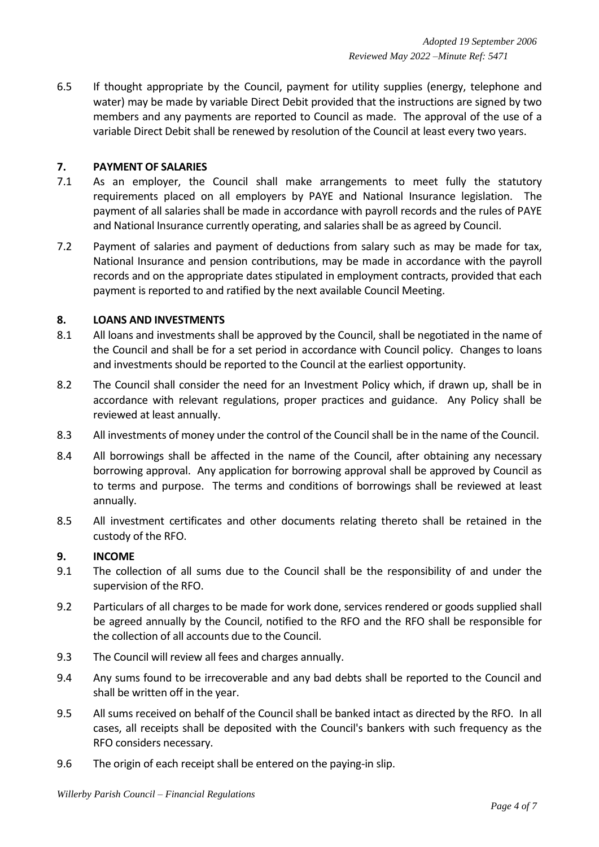6.5 If thought appropriate by the Council, payment for utility supplies (energy, telephone and water) may be made by variable Direct Debit provided that the instructions are signed by two members and any payments are reported to Council as made. The approval of the use of a variable Direct Debit shall be renewed by resolution of the Council at least every two years.

## **7. PAYMENT OF SALARIES**

- 7.1 As an employer, the Council shall make arrangements to meet fully the statutory requirements placed on all employers by PAYE and National Insurance legislation. The payment of all salaries shall be made in accordance with payroll records and the rules of PAYE and National Insurance currently operating, and salaries shall be as agreed by Council.
- 7.2 Payment of salaries and payment of deductions from salary such as may be made for tax, National Insurance and pension contributions, may be made in accordance with the payroll records and on the appropriate dates stipulated in employment contracts, provided that each payment is reported to and ratified by the next available Council Meeting.

# **8. LOANS AND INVESTMENTS**

- 8.1 All loans and investments shall be approved by the Council, shall be negotiated in the name of the Council and shall be for a set period in accordance with Council policy. Changes to loans and investments should be reported to the Council at the earliest opportunity.
- 8.2 The Council shall consider the need for an Investment Policy which, if drawn up, shall be in accordance with relevant regulations, proper practices and guidance. Any Policy shall be reviewed at least annually.
- 8.3 All investments of money under the control of the Council shall be in the name of the Council.
- 8.4 All borrowings shall be affected in the name of the Council, after obtaining any necessary borrowing approval. Any application for borrowing approval shall be approved by Council as to terms and purpose. The terms and conditions of borrowings shall be reviewed at least annually.
- 8.5 All investment certificates and other documents relating thereto shall be retained in the custody of the RFO.

## **9. INCOME**

- 9.1 The collection of all sums due to the Council shall be the responsibility of and under the supervision of the RFO.
- 9.2 Particulars of all charges to be made for work done, services rendered or goods supplied shall be agreed annually by the Council, notified to the RFO and the RFO shall be responsible for the collection of all accounts due to the Council.
- 9.3 The Council will review all fees and charges annually.
- 9.4 Any sums found to be irrecoverable and any bad debts shall be reported to the Council and shall be written off in the year.
- 9.5 All sums received on behalf of the Council shall be banked intact as directed by the RFO. In all cases, all receipts shall be deposited with the Council's bankers with such frequency as the RFO considers necessary.
- 9.6 The origin of each receipt shall be entered on the paying-in slip.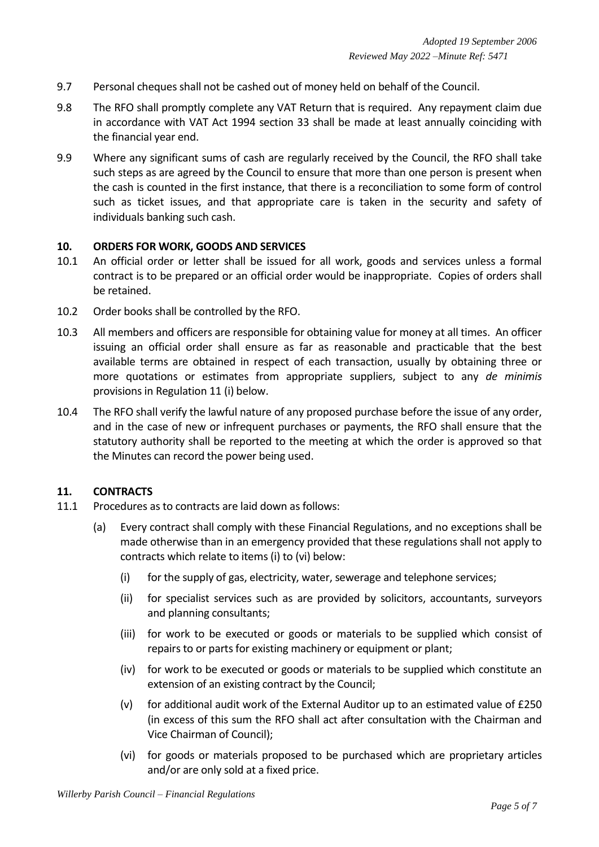- 9.7 Personal cheques shall not be cashed out of money held on behalf of the Council.
- 9.8 The RFO shall promptly complete any VAT Return that is required. Any repayment claim due in accordance with VAT Act 1994 section 33 shall be made at least annually coinciding with the financial year end.
- 9.9 Where any significant sums of cash are regularly received by the Council, the RFO shall take such steps as are agreed by the Council to ensure that more than one person is present when the cash is counted in the first instance, that there is a reconciliation to some form of control such as ticket issues, and that appropriate care is taken in the security and safety of individuals banking such cash.

#### **10. ORDERS FOR WORK, GOODS AND SERVICES**

- 10.1 An official order or letter shall be issued for all work, goods and services unless a formal contract is to be prepared or an official order would be inappropriate. Copies of orders shall be retained.
- 10.2 Order books shall be controlled by the RFO.
- 10.3 All members and officers are responsible for obtaining value for money at all times. An officer issuing an official order shall ensure as far as reasonable and practicable that the best available terms are obtained in respect of each transaction, usually by obtaining three or more quotations or estimates from appropriate suppliers, subject to any *de minimis* provisions in Regulation 11 (i) below.
- 10.4 The RFO shall verify the lawful nature of any proposed purchase before the issue of any order, and in the case of new or infrequent purchases or payments, the RFO shall ensure that the statutory authority shall be reported to the meeting at which the order is approved so that the Minutes can record the power being used.

## **11. CONTRACTS**

- 11.1 Procedures as to contracts are laid down as follows:
	- (a) Every contract shall comply with these Financial Regulations, and no exceptions shall be made otherwise than in an emergency provided that these regulations shall not apply to contracts which relate to items (i) to (vi) below:
		- (i) for the supply of gas, electricity, water, sewerage and telephone services;
		- (ii) for specialist services such as are provided by solicitors, accountants, surveyors and planning consultants;
		- (iii) for work to be executed or goods or materials to be supplied which consist of repairs to or parts for existing machinery or equipment or plant;
		- (iv) for work to be executed or goods or materials to be supplied which constitute an extension of an existing contract by the Council;
		- (v) for additional audit work of the External Auditor up to an estimated value of  $E250$ (in excess of this sum the RFO shall act after consultation with the Chairman and Vice Chairman of Council);
		- (vi) for goods or materials proposed to be purchased which are proprietary articles and/or are only sold at a fixed price.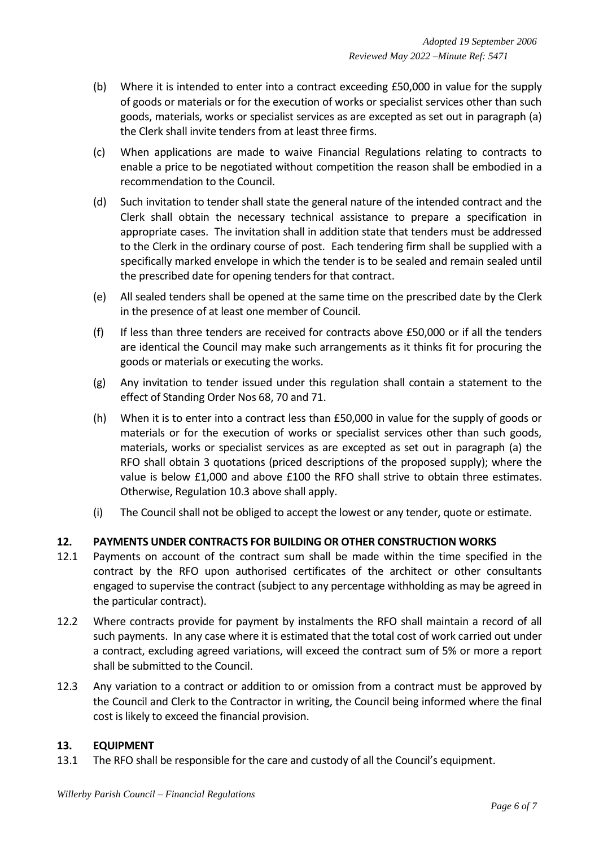- (b) Where it is intended to enter into a contract exceeding £50,000 in value for the supply of goods or materials or for the execution of works or specialist services other than such goods, materials, works or specialist services as are excepted as set out in paragraph (a) the Clerk shall invite tenders from at least three firms.
- (c) When applications are made to waive Financial Regulations relating to contracts to enable a price to be negotiated without competition the reason shall be embodied in a recommendation to the Council.
- (d) Such invitation to tender shall state the general nature of the intended contract and the Clerk shall obtain the necessary technical assistance to prepare a specification in appropriate cases. The invitation shall in addition state that tenders must be addressed to the Clerk in the ordinary course of post. Each tendering firm shall be supplied with a specifically marked envelope in which the tender is to be sealed and remain sealed until the prescribed date for opening tenders for that contract.
- (e) All sealed tenders shall be opened at the same time on the prescribed date by the Clerk in the presence of at least one member of Council.
- (f) If less than three tenders are received for contracts above £50,000 or if all the tenders are identical the Council may make such arrangements as it thinks fit for procuring the goods or materials or executing the works.
- (g) Any invitation to tender issued under this regulation shall contain a statement to the effect of Standing Order Nos 68, 70 and 71.
- (h) When it is to enter into a contract less than £50,000 in value for the supply of goods or materials or for the execution of works or specialist services other than such goods, materials, works or specialist services as are excepted as set out in paragraph (a) the RFO shall obtain 3 quotations (priced descriptions of the proposed supply); where the value is below £1,000 and above £100 the RFO shall strive to obtain three estimates. Otherwise, Regulation 10.3 above shall apply.
- (i) The Council shall not be obliged to accept the lowest or any tender, quote or estimate.

# **12. PAYMENTS UNDER CONTRACTS FOR BUILDING OR OTHER CONSTRUCTION WORKS**

- 12.1 Payments on account of the contract sum shall be made within the time specified in the contract by the RFO upon authorised certificates of the architect or other consultants engaged to supervise the contract (subject to any percentage withholding as may be agreed in the particular contract).
- 12.2 Where contracts provide for payment by instalments the RFO shall maintain a record of all such payments. In any case where it is estimated that the total cost of work carried out under a contract, excluding agreed variations, will exceed the contract sum of 5% or more a report shall be submitted to the Council.
- 12.3 Any variation to a contract or addition to or omission from a contract must be approved by the Council and Clerk to the Contractor in writing, the Council being informed where the final cost is likely to exceed the financial provision.

## **13. EQUIPMENT**

13.1 The RFO shall be responsible for the care and custody of all the Council's equipment.